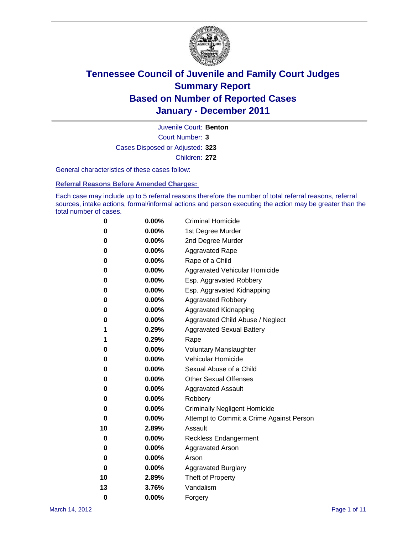

Court Number: **3** Juvenile Court: **Benton** Cases Disposed or Adjusted: **323** Children: **272**

General characteristics of these cases follow:

**Referral Reasons Before Amended Charges:** 

Each case may include up to 5 referral reasons therefore the number of total referral reasons, referral sources, intake actions, formal/informal actions and person executing the action may be greater than the total number of cases.

| 0  | 0.00%    | <b>Criminal Homicide</b>                 |  |  |  |  |
|----|----------|------------------------------------------|--|--|--|--|
| 0  | 0.00%    | 1st Degree Murder                        |  |  |  |  |
| 0  | 0.00%    | 2nd Degree Murder                        |  |  |  |  |
| 0  | 0.00%    | <b>Aggravated Rape</b>                   |  |  |  |  |
| 0  | 0.00%    | Rape of a Child                          |  |  |  |  |
| 0  | 0.00%    | Aggravated Vehicular Homicide            |  |  |  |  |
| 0  | 0.00%    | Esp. Aggravated Robbery                  |  |  |  |  |
| 0  | 0.00%    | Esp. Aggravated Kidnapping               |  |  |  |  |
| 0  | 0.00%    | <b>Aggravated Robbery</b>                |  |  |  |  |
| 0  | 0.00%    | Aggravated Kidnapping                    |  |  |  |  |
| 0  | 0.00%    | Aggravated Child Abuse / Neglect         |  |  |  |  |
| 1  | 0.29%    | <b>Aggravated Sexual Battery</b>         |  |  |  |  |
| 1  | 0.29%    | Rape                                     |  |  |  |  |
| 0  | 0.00%    | <b>Voluntary Manslaughter</b>            |  |  |  |  |
| 0  | 0.00%    | Vehicular Homicide                       |  |  |  |  |
| 0  | 0.00%    | Sexual Abuse of a Child                  |  |  |  |  |
| 0  | 0.00%    | <b>Other Sexual Offenses</b>             |  |  |  |  |
| 0  | 0.00%    | <b>Aggravated Assault</b>                |  |  |  |  |
| 0  | $0.00\%$ | Robbery                                  |  |  |  |  |
| 0  | 0.00%    | <b>Criminally Negligent Homicide</b>     |  |  |  |  |
| 0  | 0.00%    | Attempt to Commit a Crime Against Person |  |  |  |  |
| 10 | 2.89%    | Assault                                  |  |  |  |  |
| 0  | 0.00%    | <b>Reckless Endangerment</b>             |  |  |  |  |
| 0  | 0.00%    | <b>Aggravated Arson</b>                  |  |  |  |  |
| 0  | 0.00%    | Arson                                    |  |  |  |  |
| 0  | 0.00%    | <b>Aggravated Burglary</b>               |  |  |  |  |
| 10 | 2.89%    | Theft of Property                        |  |  |  |  |
| 13 | 3.76%    | Vandalism                                |  |  |  |  |
| 0  | 0.00%    | Forgery                                  |  |  |  |  |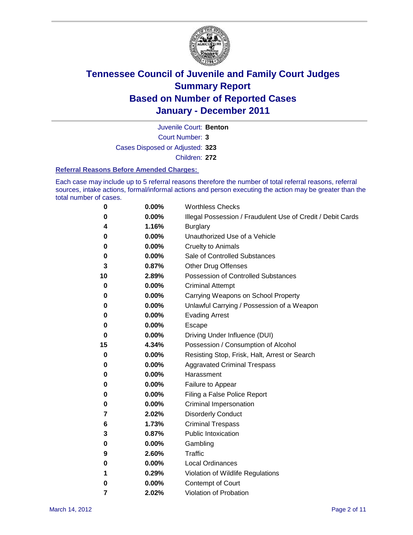

Juvenile Court: **Benton**

Court Number: **3**

Cases Disposed or Adjusted: **323**

Children: **272**

#### **Referral Reasons Before Amended Charges:**

Each case may include up to 5 referral reasons therefore the number of total referral reasons, referral sources, intake actions, formal/informal actions and person executing the action may be greater than the total number of cases.

| 0  | 0.00%    | <b>Worthless Checks</b>                                     |  |  |  |
|----|----------|-------------------------------------------------------------|--|--|--|
| 0  | 0.00%    | Illegal Possession / Fraudulent Use of Credit / Debit Cards |  |  |  |
| 4  | 1.16%    | <b>Burglary</b>                                             |  |  |  |
| 0  | 0.00%    | Unauthorized Use of a Vehicle                               |  |  |  |
| 0  | $0.00\%$ | <b>Cruelty to Animals</b>                                   |  |  |  |
| 0  | 0.00%    | Sale of Controlled Substances                               |  |  |  |
| 3  | 0.87%    | <b>Other Drug Offenses</b>                                  |  |  |  |
| 10 | 2.89%    | <b>Possession of Controlled Substances</b>                  |  |  |  |
| 0  | 0.00%    | <b>Criminal Attempt</b>                                     |  |  |  |
| 0  | 0.00%    | Carrying Weapons on School Property                         |  |  |  |
| 0  | 0.00%    | Unlawful Carrying / Possession of a Weapon                  |  |  |  |
| 0  | 0.00%    | <b>Evading Arrest</b>                                       |  |  |  |
| 0  | $0.00\%$ | Escape                                                      |  |  |  |
| 0  | 0.00%    | Driving Under Influence (DUI)                               |  |  |  |
| 15 | 4.34%    | Possession / Consumption of Alcohol                         |  |  |  |
| 0  | $0.00\%$ | Resisting Stop, Frisk, Halt, Arrest or Search               |  |  |  |
| 0  | $0.00\%$ | <b>Aggravated Criminal Trespass</b>                         |  |  |  |
| 0  | $0.00\%$ | Harassment                                                  |  |  |  |
| 0  | 0.00%    | Failure to Appear                                           |  |  |  |
| 0  | 0.00%    | Filing a False Police Report                                |  |  |  |
| 0  | 0.00%    | Criminal Impersonation                                      |  |  |  |
| 7  | 2.02%    | <b>Disorderly Conduct</b>                                   |  |  |  |
| 6  | 1.73%    | <b>Criminal Trespass</b>                                    |  |  |  |
| 3  | 0.87%    | <b>Public Intoxication</b>                                  |  |  |  |
| 0  | $0.00\%$ | Gambling                                                    |  |  |  |
| 9  | 2.60%    | Traffic                                                     |  |  |  |
| 0  | $0.00\%$ | <b>Local Ordinances</b>                                     |  |  |  |
| 1  | 0.29%    | Violation of Wildlife Regulations                           |  |  |  |
| 0  | $0.00\%$ | Contempt of Court                                           |  |  |  |
| 7  | 2.02%    | Violation of Probation                                      |  |  |  |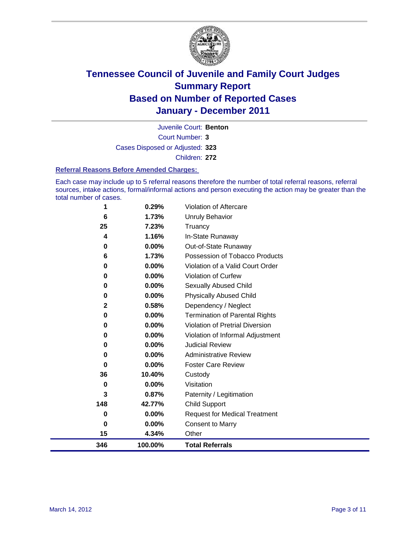

Court Number: **3** Juvenile Court: **Benton** Cases Disposed or Adjusted: **323**

Children: **272**

#### **Referral Reasons Before Amended Charges:**

Each case may include up to 5 referral reasons therefore the number of total referral reasons, referral sources, intake actions, formal/informal actions and person executing the action may be greater than the total number of cases.

| 346      | 100.00%        | <b>Total Referrals</b>                                 |
|----------|----------------|--------------------------------------------------------|
| 15       | 4.34%          | Other                                                  |
| 0        | 0.00%          | <b>Consent to Marry</b>                                |
| 0        | 0.00%          | <b>Request for Medical Treatment</b>                   |
| 148      | 42.77%         | <b>Child Support</b>                                   |
| 3        | 0.87%          | Paternity / Legitimation                               |
| 0        | 0.00%          | Visitation                                             |
| 36       | 10.40%         | Custody                                                |
| 0        | 0.00%          | <b>Foster Care Review</b>                              |
| 0        | 0.00%          | <b>Administrative Review</b>                           |
| 0        | $0.00\%$       | <b>Judicial Review</b>                                 |
| 0        | 0.00%          | Violation of Informal Adjustment                       |
| $\bf{0}$ | 0.00%          | <b>Violation of Pretrial Diversion</b>                 |
| $\bf{0}$ | 0.00%          | <b>Termination of Parental Rights</b>                  |
| 2        | 0.58%          | Dependency / Neglect                                   |
| $\bf{0}$ | 0.00%          | <b>Physically Abused Child</b>                         |
| 0        | 0.00%          | <b>Sexually Abused Child</b>                           |
| 0        | 0.00%          | Violation of Curfew                                    |
| $\bf{0}$ | $0.00\%$       | Violation of a Valid Court Order                       |
| 0<br>6   | 0.00%<br>1.73% | Out-of-State Runaway<br>Possession of Tobacco Products |
| 4        | 1.16%          | In-State Runaway                                       |
| 25       | 7.23%          | Truancy                                                |
| 6        | 1.73%          | <b>Unruly Behavior</b>                                 |
| 1        | 0.29%          | Violation of Aftercare                                 |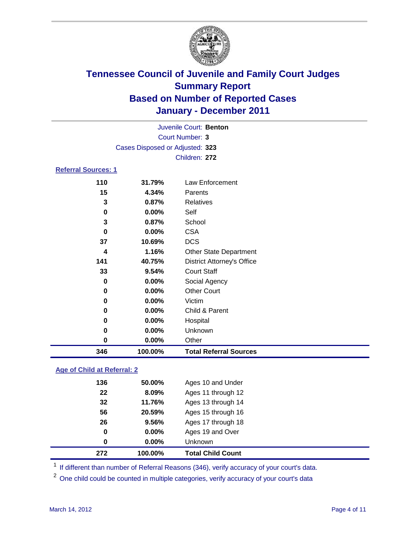

|                        |                                 | Juvenile Court: Benton            |  |  |
|------------------------|---------------------------------|-----------------------------------|--|--|
| <b>Court Number: 3</b> |                                 |                                   |  |  |
|                        | Cases Disposed or Adjusted: 323 |                                   |  |  |
|                        |                                 | Children: 272                     |  |  |
| Referral Sources: 1    |                                 |                                   |  |  |
| 110                    | 31.79%                          | Law Enforcement                   |  |  |
| 15                     | 4.34%                           | Parents                           |  |  |
| 3                      | 0.87%                           | <b>Relatives</b>                  |  |  |
| 0                      | $0.00\%$                        | Self                              |  |  |
| 3                      | 0.87%                           | School                            |  |  |
| 0                      | 0.00%                           | <b>CSA</b>                        |  |  |
| 37                     | 10.69%                          | <b>DCS</b>                        |  |  |
| 4                      | 1.16%                           | <b>Other State Department</b>     |  |  |
| 141                    | 40.75%                          | <b>District Attorney's Office</b> |  |  |
| 33                     | 9.54%                           | <b>Court Staff</b>                |  |  |
| 0                      | 0.00%                           | Social Agency                     |  |  |
| 0                      | 0.00%                           | <b>Other Court</b>                |  |  |
| 0                      | $0.00\%$                        | Victim                            |  |  |
| 0                      | 0.00%                           | Child & Parent                    |  |  |
| 0                      | 0.00%                           | Hospital                          |  |  |

# **0.00%** Other **100.00% Total Referral Sources**

**0.00%** Unknown

### **Age of Child at Referral: 2**

| 272 | 100.00%  | <b>Total Child Count</b> |
|-----|----------|--------------------------|
| 0   | 0.00%    | <b>Unknown</b>           |
| 0   | $0.00\%$ | Ages 19 and Over         |
| 26  | 9.56%    | Ages 17 through 18       |
| 56  | 20.59%   | Ages 15 through 16       |
| 32  | 11.76%   | Ages 13 through 14       |
| 22  | 8.09%    | Ages 11 through 12       |
| 136 | 50.00%   | Ages 10 and Under        |
|     |          |                          |

<sup>1</sup> If different than number of Referral Reasons (346), verify accuracy of your court's data.

<sup>2</sup> One child could be counted in multiple categories, verify accuracy of your court's data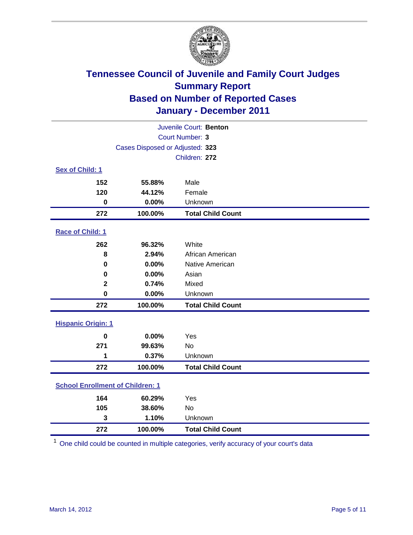

| Juvenile Court: Benton                  |                                 |                          |  |  |
|-----------------------------------------|---------------------------------|--------------------------|--|--|
| Court Number: 3                         |                                 |                          |  |  |
|                                         | Cases Disposed or Adjusted: 323 |                          |  |  |
|                                         | Children: 272                   |                          |  |  |
| Sex of Child: 1                         |                                 |                          |  |  |
| 152                                     | 55.88%                          | Male                     |  |  |
| 120                                     | 44.12%                          | Female                   |  |  |
| $\bf{0}$                                | 0.00%                           | Unknown                  |  |  |
| 272                                     | 100.00%                         | <b>Total Child Count</b> |  |  |
| Race of Child: 1                        |                                 |                          |  |  |
| 262                                     | 96.32%                          | White                    |  |  |
| 8                                       | 2.94%                           | African American         |  |  |
| $\mathbf 0$                             | 0.00%                           | Native American          |  |  |
| 0                                       | 0.00%                           | Asian                    |  |  |
| $\overline{\mathbf{2}}$                 | 0.74%                           | Mixed                    |  |  |
| $\mathbf 0$                             | 0.00%                           | Unknown                  |  |  |
| 272                                     | 100.00%                         | <b>Total Child Count</b> |  |  |
| <b>Hispanic Origin: 1</b>               |                                 |                          |  |  |
| $\mathbf 0$                             | 0.00%                           | Yes                      |  |  |
| 271                                     | 99.63%                          | <b>No</b>                |  |  |
| 1                                       | 0.37%                           | Unknown                  |  |  |
| 272                                     | 100.00%                         | <b>Total Child Count</b> |  |  |
| <b>School Enrollment of Children: 1</b> |                                 |                          |  |  |
| 164                                     | 60.29%                          | Yes                      |  |  |
| 105                                     | 38.60%                          | <b>No</b>                |  |  |
| $\overline{\mathbf{3}}$                 | 1.10%                           | Unknown                  |  |  |
| 272                                     | 100.00%                         | <b>Total Child Count</b> |  |  |

One child could be counted in multiple categories, verify accuracy of your court's data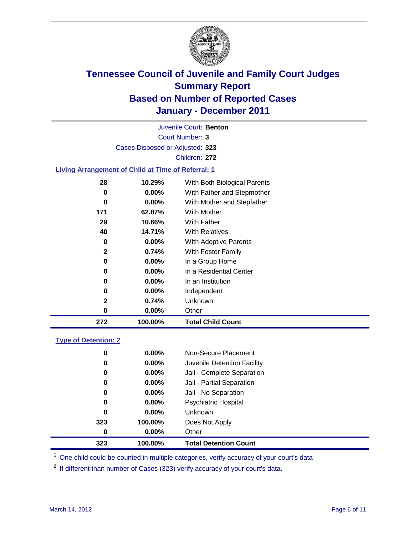

Court Number: **3** Juvenile Court: **Benton** Cases Disposed or Adjusted: **323** Children: **272**

#### **Living Arrangement of Child at Time of Referral: 1**

| 272          | 100.00%  | <b>Total Child Count</b>     |
|--------------|----------|------------------------------|
| 0            | 0.00%    | Other                        |
| $\mathbf{2}$ | 0.74%    | Unknown                      |
| 0            | $0.00\%$ | Independent                  |
| 0            | 0.00%    | In an Institution            |
| 0            | $0.00\%$ | In a Residential Center      |
| 0            | 0.00%    | In a Group Home              |
| 2            | 0.74%    | With Foster Family           |
| 0            | 0.00%    | <b>With Adoptive Parents</b> |
| 40           | 14.71%   | <b>With Relatives</b>        |
| 29           | 10.66%   | With Father                  |
| 171          | 62.87%   | With Mother                  |
| 0            | $0.00\%$ | With Mother and Stepfather   |
| 0            | $0.00\%$ | With Father and Stepmother   |
| 28           | 10.29%   | With Both Biological Parents |
|              |          |                              |

#### **Type of Detention: 2**

| 323 | 100.00%  | <b>Total Detention Count</b> |  |
|-----|----------|------------------------------|--|
| 0   | $0.00\%$ | Other                        |  |
| 323 | 100.00%  | Does Not Apply               |  |
| 0   | $0.00\%$ | <b>Unknown</b>               |  |
| 0   | 0.00%    | <b>Psychiatric Hospital</b>  |  |
| 0   | 0.00%    | Jail - No Separation         |  |
| 0   | $0.00\%$ | Jail - Partial Separation    |  |
| 0   | $0.00\%$ | Jail - Complete Separation   |  |
| 0   | 0.00%    | Juvenile Detention Facility  |  |
| 0   | $0.00\%$ | Non-Secure Placement         |  |
|     |          |                              |  |

<sup>1</sup> One child could be counted in multiple categories, verify accuracy of your court's data

<sup>2</sup> If different than number of Cases (323) verify accuracy of your court's data.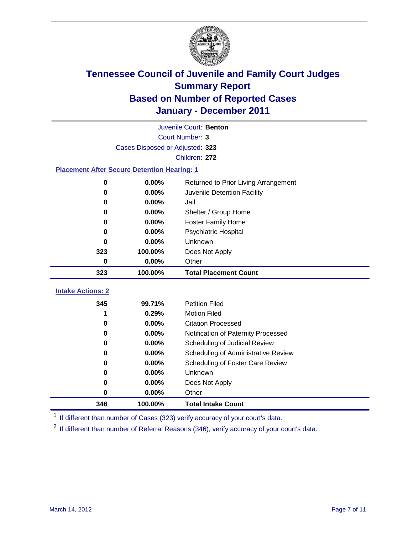

| Juvenile Court: Benton                             |                                 |                                      |  |  |
|----------------------------------------------------|---------------------------------|--------------------------------------|--|--|
|                                                    | <b>Court Number: 3</b>          |                                      |  |  |
|                                                    | Cases Disposed or Adjusted: 323 |                                      |  |  |
|                                                    | Children: 272                   |                                      |  |  |
| <b>Placement After Secure Detention Hearing: 1</b> |                                 |                                      |  |  |
| 0                                                  | 0.00%                           | Returned to Prior Living Arrangement |  |  |
| 0                                                  | 0.00%                           | Juvenile Detention Facility          |  |  |
| 0                                                  | 0.00%                           | Jail                                 |  |  |
| 0                                                  | 0.00%                           | Shelter / Group Home                 |  |  |
| 0                                                  | 0.00%                           | <b>Foster Family Home</b>            |  |  |
| 0                                                  | 0.00%                           | Psychiatric Hospital                 |  |  |
| 0                                                  | 0.00%                           | Unknown                              |  |  |
| 323                                                | 100.00%                         | Does Not Apply                       |  |  |
| $\mathbf 0$                                        | 0.00%                           | Other                                |  |  |
|                                                    |                                 |                                      |  |  |
| 323                                                | 100.00%                         | <b>Total Placement Count</b>         |  |  |
|                                                    |                                 |                                      |  |  |
| <b>Intake Actions: 2</b><br>345                    | 99.71%                          | <b>Petition Filed</b>                |  |  |
| 1                                                  | 0.29%                           | <b>Motion Filed</b>                  |  |  |
| 0                                                  | 0.00%                           | <b>Citation Processed</b>            |  |  |
| $\bf{0}$                                           | 0.00%                           | Notification of Paternity Processed  |  |  |
| $\mathbf 0$                                        | 0.00%                           | Scheduling of Judicial Review        |  |  |
| 0                                                  | 0.00%                           | Scheduling of Administrative Review  |  |  |
| 0                                                  | 0.00%                           | Scheduling of Foster Care Review     |  |  |
| 0                                                  | 0.00%                           | Unknown                              |  |  |
| 0                                                  | 0.00%                           | Does Not Apply                       |  |  |
| 0                                                  | 0.00%                           | Other                                |  |  |

<sup>1</sup> If different than number of Cases (323) verify accuracy of your court's data.

<sup>2</sup> If different than number of Referral Reasons (346), verify accuracy of your court's data.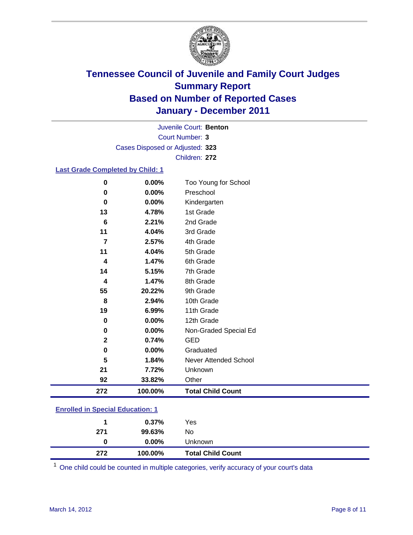

Court Number: **3** Juvenile Court: **Benton** Cases Disposed or Adjusted: **323** Children: **272**

#### **Last Grade Completed by Child: 1**

| 272            | 100.00% | <b>Total Child Count</b> |
|----------------|---------|--------------------------|
| 92             | 33.82%  | Other                    |
| 21             | 7.72%   | Unknown                  |
| 5              | 1.84%   | Never Attended School    |
| 0              | 0.00%   | Graduated                |
| $\mathbf{2}$   | 0.74%   | <b>GED</b>               |
| 0              | 0.00%   | Non-Graded Special Ed    |
| $\bf{0}$       | 0.00%   | 12th Grade               |
| 19             | 6.99%   | 11th Grade               |
| 8              | 2.94%   | 10th Grade               |
| 55             | 20.22%  | 9th Grade                |
| 4              | 1.47%   | 8th Grade                |
| 14             | 5.15%   | 7th Grade                |
| 4              | 1.47%   | 6th Grade                |
| 11             | 4.04%   | 5th Grade                |
| $\overline{7}$ | 2.57%   | 4th Grade                |
| 11             | 4.04%   | 3rd Grade                |
| 6              | 2.21%   | 2nd Grade                |
| 13             | 4.78%   | 1st Grade                |
| 0              | 0.00%   | Kindergarten             |
| 0              | 0.00%   | Preschool                |
| 0              | 0.00%   | Too Young for School     |

### **Enrolled in Special Education: 1**

| 272 | 100.00%  | <b>Total Child Count</b> |
|-----|----------|--------------------------|
| 0   | $0.00\%$ | <b>Unknown</b>           |
| 271 | 99.63%   | No                       |
| 1.  | $0.37\%$ | Yes                      |
|     |          |                          |

One child could be counted in multiple categories, verify accuracy of your court's data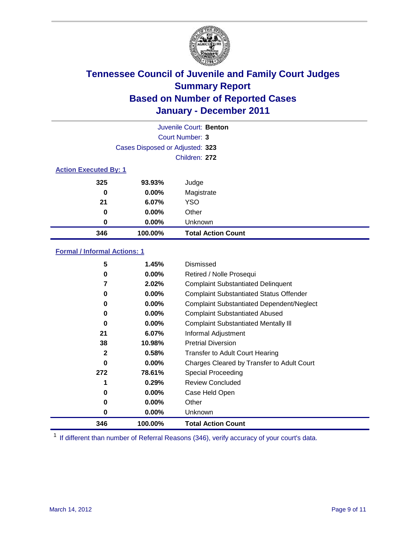

|                              | Juvenile Court: Benton          |                           |  |  |
|------------------------------|---------------------------------|---------------------------|--|--|
|                              | Court Number: 3                 |                           |  |  |
|                              | Cases Disposed or Adjusted: 323 |                           |  |  |
|                              | Children: 272                   |                           |  |  |
| <b>Action Executed By: 1</b> |                                 |                           |  |  |
| 325                          | 93.93%                          | Judge                     |  |  |
| 0                            | $0.00\%$                        | Magistrate                |  |  |
| 21                           | 6.07%                           | <b>YSO</b>                |  |  |
| 0                            | $0.00\%$                        | Other                     |  |  |
| 0                            | 0.00%                           | Unknown                   |  |  |
| 346                          | 100.00%                         | <b>Total Action Count</b> |  |  |

#### **Formal / Informal Actions: 1**

| 5            | 1.45%    | Dismissed                                        |
|--------------|----------|--------------------------------------------------|
| 0            | $0.00\%$ | Retired / Nolle Prosequi                         |
|              | 2.02%    | <b>Complaint Substantiated Delinquent</b>        |
| 0            | $0.00\%$ | <b>Complaint Substantiated Status Offender</b>   |
| 0            | $0.00\%$ | <b>Complaint Substantiated Dependent/Neglect</b> |
| 0            | $0.00\%$ | <b>Complaint Substantiated Abused</b>            |
| 0            | $0.00\%$ | <b>Complaint Substantiated Mentally III</b>      |
| 21           | 6.07%    | Informal Adjustment                              |
| 38           | 10.98%   | <b>Pretrial Diversion</b>                        |
| $\mathbf{2}$ | 0.58%    | <b>Transfer to Adult Court Hearing</b>           |
| 0            | $0.00\%$ | Charges Cleared by Transfer to Adult Court       |
| 272          | 78.61%   | Special Proceeding                               |
|              | 0.29%    | <b>Review Concluded</b>                          |
| 0            | $0.00\%$ | Case Held Open                                   |
| 0            | $0.00\%$ | Other                                            |
| 0            | $0.00\%$ | <b>Unknown</b>                                   |
| 346          | 100.00%  | <b>Total Action Count</b>                        |

<sup>1</sup> If different than number of Referral Reasons (346), verify accuracy of your court's data.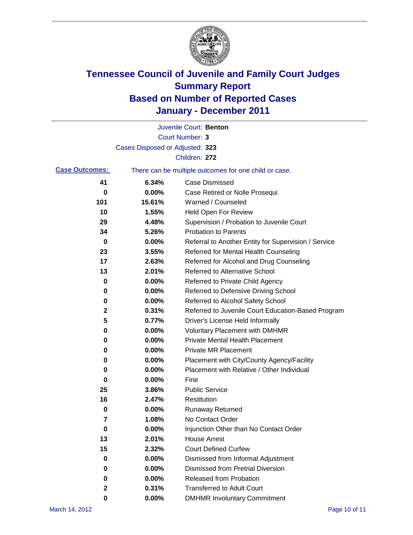

|                       |                                 | Juvenile Court: Benton                                |
|-----------------------|---------------------------------|-------------------------------------------------------|
|                       |                                 | <b>Court Number: 3</b>                                |
|                       | Cases Disposed or Adjusted: 323 |                                                       |
|                       |                                 | Children: 272                                         |
| <b>Case Outcomes:</b> |                                 | There can be multiple outcomes for one child or case. |
| 41                    | 6.34%                           | <b>Case Dismissed</b>                                 |
| 0                     | 0.00%                           | Case Retired or Nolle Prosequi                        |
| 101                   | 15.61%                          | Warned / Counseled                                    |
| 10                    | 1.55%                           | Held Open For Review                                  |
| 29                    | 4.48%                           | Supervision / Probation to Juvenile Court             |
| 34                    | 5.26%                           | <b>Probation to Parents</b>                           |
| 0                     | 0.00%                           | Referral to Another Entity for Supervision / Service  |
| 23                    | 3.55%                           | Referred for Mental Health Counseling                 |
| 17                    | 2.63%                           | Referred for Alcohol and Drug Counseling              |
| 13                    | 2.01%                           | <b>Referred to Alternative School</b>                 |
| 0                     | 0.00%                           | Referred to Private Child Agency                      |
| 0                     | 0.00%                           | Referred to Defensive Driving School                  |
| 0                     | 0.00%                           | Referred to Alcohol Safety School                     |
| $\mathbf{2}$          | 0.31%                           | Referred to Juvenile Court Education-Based Program    |
| 5                     | 0.77%                           | Driver's License Held Informally                      |
| 0                     | 0.00%                           | <b>Voluntary Placement with DMHMR</b>                 |
| 0                     | 0.00%                           | Private Mental Health Placement                       |
| 0                     | 0.00%                           | <b>Private MR Placement</b>                           |
| 0                     | 0.00%                           | Placement with City/County Agency/Facility            |
| 0                     | 0.00%                           | Placement with Relative / Other Individual            |
| 0                     | 0.00%                           | Fine                                                  |
| 25                    | 3.86%                           | <b>Public Service</b>                                 |
| 16                    | 2.47%                           | Restitution                                           |
| 0                     | 0.00%                           | <b>Runaway Returned</b>                               |
| 7                     | 1.08%                           | No Contact Order                                      |
| $\pmb{0}$             | 0.00%                           | Injunction Other than No Contact Order                |
| 13                    | 2.01%                           | <b>House Arrest</b>                                   |
| 15                    | 2.32%                           | <b>Court Defined Curfew</b>                           |
| 0                     | $0.00\%$                        | Dismissed from Informal Adjustment                    |
| 0                     | $0.00\%$                        | <b>Dismissed from Pretrial Diversion</b>              |
| 0                     | 0.00%                           | Released from Probation                               |
| 2                     | 0.31%                           | <b>Transferred to Adult Court</b>                     |
| 0                     | 0.00%                           | <b>DMHMR Involuntary Commitment</b>                   |